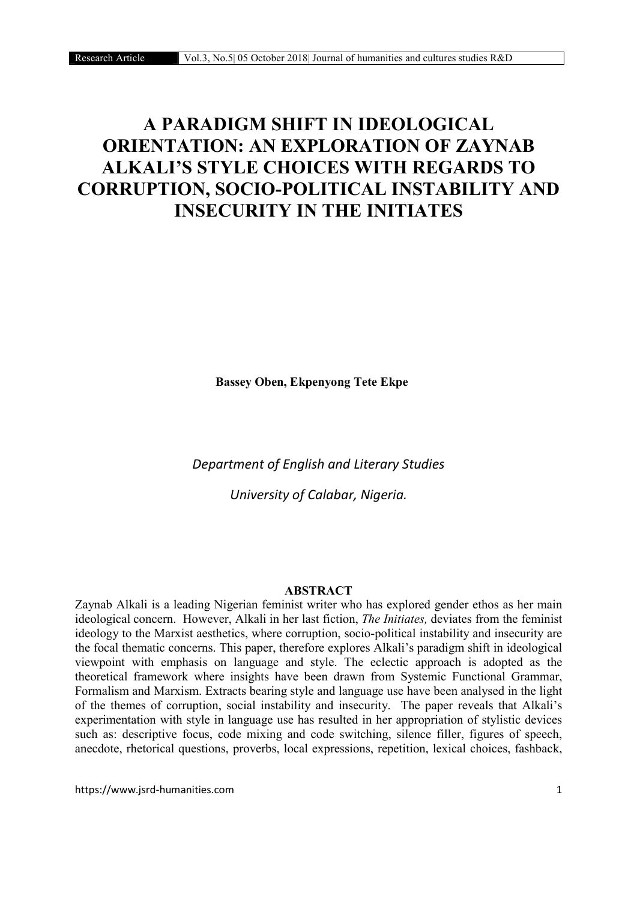# A PARADIGM SHIFT IN IDEOLOGICAL ORIENTATION: AN EXPLORATION OF ZAYNAB ALKALI'S STYLE CHOICES WITH REGARDS TO CORRUPTION, SOCIO-POLITICAL INSTABILITY AND INSECURITY IN THE INITIATES

Bassey Oben, Ekpenyong Tete Ekpe

*Department of English and Literary Studies*

*University of Calabar, Nigeria.*

#### ABSTRACT

Zaynab Alkali is a leading Nigerian feminist writer who has explored gender ethos as her main ideological concern. However, Alkali in her last fiction, *The Initiates,* deviates from the feminist ideology to the Marxist aesthetics, where corruption, socio-political instability and insecurity are the focal thematic concerns. This paper, therefore explores Alkali's paradigm shift in ideological viewpoint with emphasis on language and style. The eclectic approach is adopted as the theoretical framework where insights have been drawn from Systemic Functional Grammar, Formalism and Marxism. Extracts bearing style and language use have been analysed in the light of the themes of corruption, social instability and insecurity. The paper reveals that Alkali's experimentation with style in language use has resulted in her appropriation of stylistic devices such as: descriptive focus, code mixing and code switching, silence filler, figures of speech, anecdote, rhetorical questions, proverbs, local expressions, repetition, lexical choices, fashback,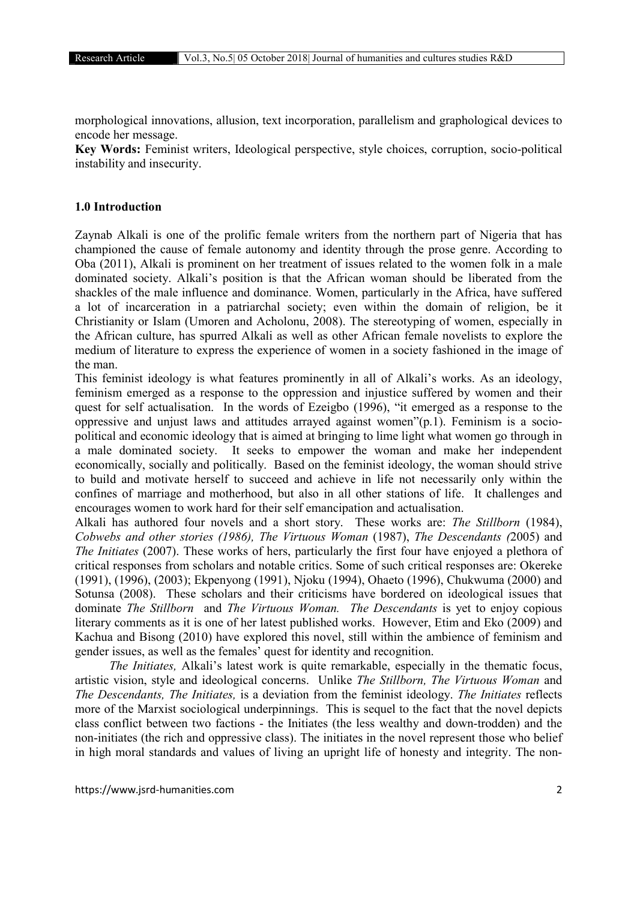morphological innovations, allusion, text incorporation, parallelism and graphological devices to encode her message.

Key Words: Feminist writers, Ideological perspective, style choices, corruption, socio-political instability and insecurity.

#### 1.0 Introduction

Zaynab Alkali is one of the prolific female writers from the northern part of Nigeria that has championed the cause of female autonomy and identity through the prose genre. According to Oba (2011), Alkali is prominent on her treatment of issues related to the women folk in a male dominated society. Alkali's position is that the African woman should be liberated from the shackles of the male influence and dominance. Women, particularly in the Africa, have suffered a lot of incarceration in a patriarchal society; even within the domain of religion, be it Christianity or Islam (Umoren and Acholonu, 2008). The stereotyping of women, especially in the African culture, has spurred Alkali as well as other African female novelists to explore the medium of literature to express the experience of women in a society fashioned in the image of the man.

This feminist ideology is what features prominently in all of Alkali's works. As an ideology, feminism emerged as a response to the oppression and injustice suffered by women and their quest for self actualisation. In the words of Ezeigbo (1996), "it emerged as a response to the oppressive and unjust laws and attitudes arrayed against women"(p.1). Feminism is a sociopolitical and economic ideology that is aimed at bringing to lime light what women go through in a male dominated society. It seeks to empower the woman and make her independent economically, socially and politically. Based on the feminist ideology, the woman should strive to build and motivate herself to succeed and achieve in life not necessarily only within the confines of marriage and motherhood, but also in all other stations of life. It challenges and encourages women to work hard for their self emancipation and actualisation.

Alkali has authored four novels and a short story. These works are: *The Stillborn* (1984), *Cobwebs and other stories (1986), The Virtuous Woman* (1987), *The Descendants (*2005) and *The Initiates* (2007). These works of hers, particularly the first four have enjoyed a plethora of critical responses from scholars and notable critics. Some of such critical responses are: Okereke (1991), (1996), (2003); Ekpenyong (1991), Njoku (1994), Ohaeto (1996), Chukwuma (2000) and Sotunsa (2008). These scholars and their criticisms have bordered on ideological issues that dominate *The Stillborn* and *The Virtuous Woman. The Descendants* is yet to enjoy copious literary comments as it is one of her latest published works. However, Etim and Eko (2009) and Kachua and Bisong (2010) have explored this novel, still within the ambience of feminism and gender issues, as well as the females' quest for identity and recognition.

 *The Initiates,* Alkali's latest work is quite remarkable, especially in the thematic focus, artistic vision, style and ideological concerns. Unlike *The Stillborn, The Virtuous Woman* and *The Descendants, The Initiates,* is a deviation from the feminist ideology. *The Initiates* reflects more of the Marxist sociological underpinnings. This is sequel to the fact that the novel depicts class conflict between two factions - the Initiates (the less wealthy and down-trodden) and the non-initiates (the rich and oppressive class). The initiates in the novel represent those who belief in high moral standards and values of living an upright life of honesty and integrity. The non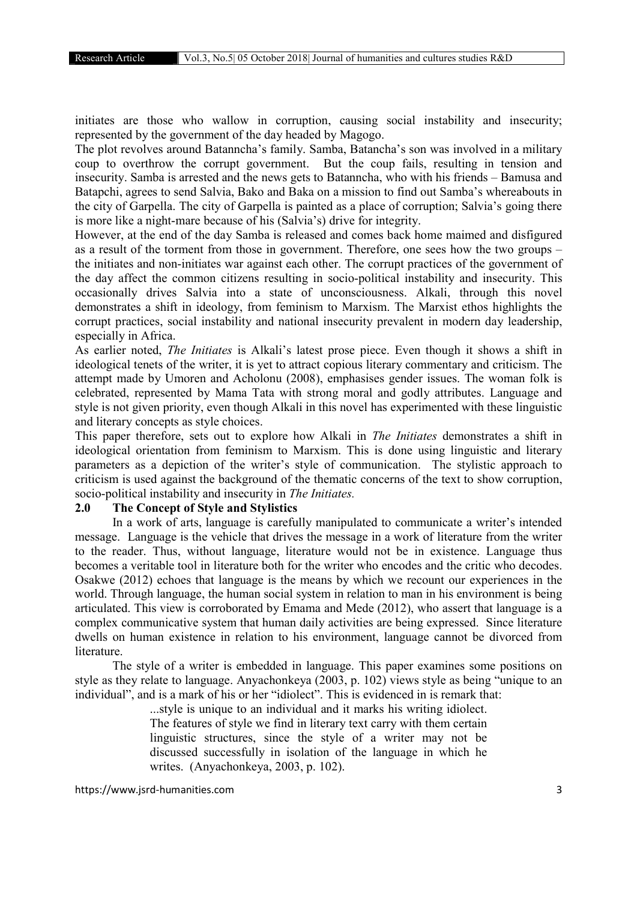initiates are those who wallow in corruption, causing social instability and insecurity; represented by the government of the day headed by Magogo.

The plot revolves around Batanncha's family. Samba, Batancha's son was involved in a military coup to overthrow the corrupt government. But the coup fails, resulting in tension and insecurity. Samba is arrested and the news gets to Batanncha, who with his friends – Bamusa and Batapchi, agrees to send Salvia, Bako and Baka on a mission to find out Samba's whereabouts in the city of Garpella. The city of Garpella is painted as a place of corruption; Salvia's going there is more like a night-mare because of his (Salvia's) drive for integrity.

However, at the end of the day Samba is released and comes back home maimed and disfigured as a result of the torment from those in government. Therefore, one sees how the two groups – the initiates and non-initiates war against each other. The corrupt practices of the government of the day affect the common citizens resulting in socio-political instability and insecurity. This occasionally drives Salvia into a state of unconsciousness. Alkali, through this novel demonstrates a shift in ideology, from feminism to Marxism. The Marxist ethos highlights the corrupt practices, social instability and national insecurity prevalent in modern day leadership, especially in Africa.

As earlier noted, *The Initiates* is Alkali's latest prose piece. Even though it shows a shift in ideological tenets of the writer, it is yet to attract copious literary commentary and criticism. The attempt made by Umoren and Acholonu (2008), emphasises gender issues. The woman folk is celebrated, represented by Mama Tata with strong moral and godly attributes. Language and style is not given priority, even though Alkali in this novel has experimented with these linguistic and literary concepts as style choices.

This paper therefore, sets out to explore how Alkali in *The Initiates* demonstrates a shift in ideological orientation from feminism to Marxism. This is done using linguistic and literary parameters as a depiction of the writer's style of communication. The stylistic approach to criticism is used against the background of the thematic concerns of the text to show corruption, socio-political instability and insecurity in *The Initiates.*

# 2.0 The Concept of Style and Stylistics

In a work of arts, language is carefully manipulated to communicate a writer's intended message. Language is the vehicle that drives the message in a work of literature from the writer to the reader. Thus, without language, literature would not be in existence. Language thus becomes a veritable tool in literature both for the writer who encodes and the critic who decodes. Osakwe (2012) echoes that language is the means by which we recount our experiences in the world. Through language, the human social system in relation to man in his environment is being articulated. This view is corroborated by Emama and Mede (2012), who assert that language is a complex communicative system that human daily activities are being expressed. Since literature dwells on human existence in relation to his environment, language cannot be divorced from literature.

The style of a writer is embedded in language. This paper examines some positions on style as they relate to language. Anyachonkeya (2003, p. 102) views style as being "unique to an individual", and is a mark of his or her "idiolect". This is evidenced in is remark that:

...style is unique to an individual and it marks his writing idiolect. The features of style we find in literary text carry with them certain linguistic structures, since the style of a writer may not be discussed successfully in isolation of the language in which he writes. (Anyachonkeya, 2003, p. 102).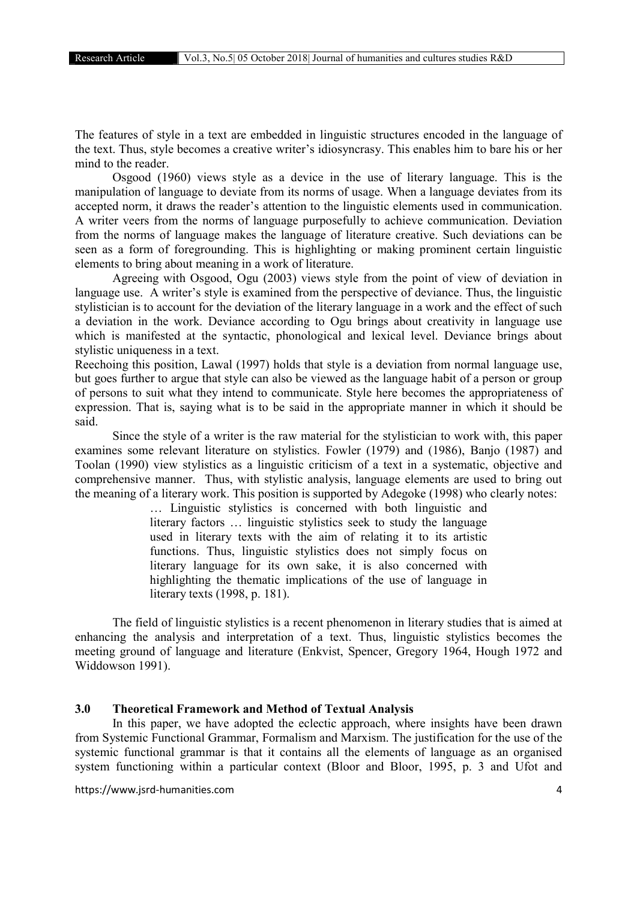The features of style in a text are embedded in linguistic structures encoded in the language of the text. Thus, style becomes a creative writer's idiosyncrasy. This enables him to bare his or her mind to the reader.

Osgood (1960) views style as a device in the use of literary language. This is the manipulation of language to deviate from its norms of usage. When a language deviates from its accepted norm, it draws the reader's attention to the linguistic elements used in communication. A writer veers from the norms of language purposefully to achieve communication. Deviation from the norms of language makes the language of literature creative. Such deviations can be seen as a form of foregrounding. This is highlighting or making prominent certain linguistic elements to bring about meaning in a work of literature.

Agreeing with Osgood, Ogu (2003) views style from the point of view of deviation in language use. A writer's style is examined from the perspective of deviance. Thus, the linguistic stylistician is to account for the deviation of the literary language in a work and the effect of such a deviation in the work. Deviance according to Ogu brings about creativity in language use which is manifested at the syntactic, phonological and lexical level. Deviance brings about stylistic uniqueness in a text.

Reechoing this position, Lawal (1997) holds that style is a deviation from normal language use, but goes further to argue that style can also be viewed as the language habit of a person or group of persons to suit what they intend to communicate. Style here becomes the appropriateness of expression. That is, saying what is to be said in the appropriate manner in which it should be said.

Since the style of a writer is the raw material for the stylistician to work with, this paper examines some relevant literature on stylistics. Fowler (1979) and (1986), Banjo (1987) and Toolan (1990) view stylistics as a linguistic criticism of a text in a systematic, objective and comprehensive manner. Thus, with stylistic analysis, language elements are used to bring out the meaning of a literary work. This position is supported by Adegoke (1998) who clearly notes:

> … Linguistic stylistics is concerned with both linguistic and literary factors … linguistic stylistics seek to study the language used in literary texts with the aim of relating it to its artistic functions. Thus, linguistic stylistics does not simply focus on literary language for its own sake, it is also concerned with highlighting the thematic implications of the use of language in literary texts (1998, p. 181).

The field of linguistic stylistics is a recent phenomenon in literary studies that is aimed at enhancing the analysis and interpretation of a text. Thus, linguistic stylistics becomes the meeting ground of language and literature (Enkvist, Spencer, Gregory 1964, Hough 1972 and Widdowson 1991).

# 3.0 Theoretical Framework and Method of Textual Analysis

In this paper, we have adopted the eclectic approach, where insights have been drawn from Systemic Functional Grammar, Formalism and Marxism. The justification for the use of the systemic functional grammar is that it contains all the elements of language as an organised system functioning within a particular context (Bloor and Bloor, 1995, p. 3 and Ufot and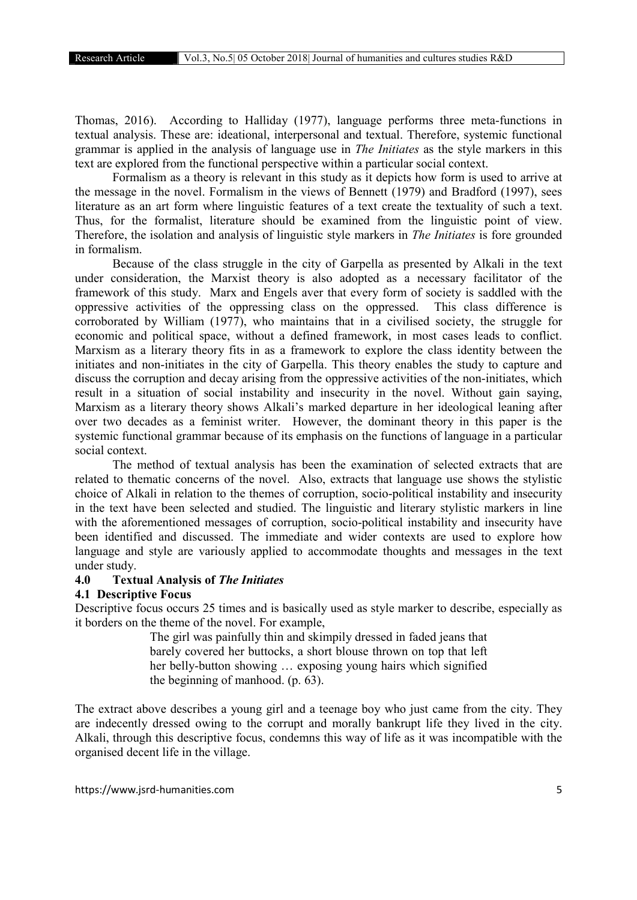Thomas, 2016). According to Halliday (1977), language performs three meta-functions in textual analysis. These are: ideational, interpersonal and textual. Therefore, systemic functional grammar is applied in the analysis of language use in *The Initiates* as the style markers in this text are explored from the functional perspective within a particular social context.

Formalism as a theory is relevant in this study as it depicts how form is used to arrive at the message in the novel. Formalism in the views of Bennett (1979) and Bradford (1997), sees literature as an art form where linguistic features of a text create the textuality of such a text. Thus, for the formalist, literature should be examined from the linguistic point of view. Therefore, the isolation and analysis of linguistic style markers in *The Initiates* is fore grounded in formalism.

Because of the class struggle in the city of Garpella as presented by Alkali in the text under consideration, the Marxist theory is also adopted as a necessary facilitator of the framework of this study. Marx and Engels aver that every form of society is saddled with the oppressive activities of the oppressing class on the oppressed. This class difference is corroborated by William (1977), who maintains that in a civilised society, the struggle for economic and political space, without a defined framework, in most cases leads to conflict. Marxism as a literary theory fits in as a framework to explore the class identity between the initiates and non-initiates in the city of Garpella. This theory enables the study to capture and discuss the corruption and decay arising from the oppressive activities of the non-initiates, which result in a situation of social instability and insecurity in the novel. Without gain saying, Marxism as a literary theory shows Alkali's marked departure in her ideological leaning after over two decades as a feminist writer. However, the dominant theory in this paper is the systemic functional grammar because of its emphasis on the functions of language in a particular social context.

The method of textual analysis has been the examination of selected extracts that are related to thematic concerns of the novel. Also, extracts that language use shows the stylistic choice of Alkali in relation to the themes of corruption, socio-political instability and insecurity in the text have been selected and studied. The linguistic and literary stylistic markers in line with the aforementioned messages of corruption, socio-political instability and insecurity have been identified and discussed. The immediate and wider contexts are used to explore how language and style are variously applied to accommodate thoughts and messages in the text under study.

### 4.0 Textual Analysis of *The Initiates*

#### 4.1 Descriptive Focus

Descriptive focus occurs 25 times and is basically used as style marker to describe, especially as it borders on the theme of the novel. For example,

> The girl was painfully thin and skimpily dressed in faded jeans that barely covered her buttocks, a short blouse thrown on top that left her belly-button showing … exposing young hairs which signified the beginning of manhood. (p. 63).

The extract above describes a young girl and a teenage boy who just came from the city. They are indecently dressed owing to the corrupt and morally bankrupt life they lived in the city. Alkali, through this descriptive focus, condemns this way of life as it was incompatible with the organised decent life in the village.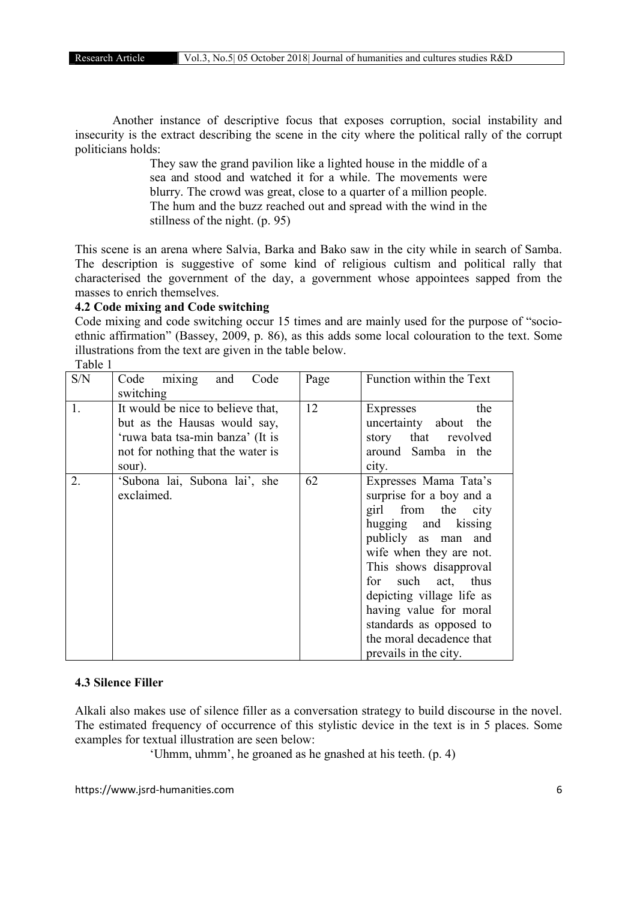Another instance of descriptive focus that exposes corruption, social instability and insecurity is the extract describing the scene in the city where the political rally of the corrupt politicians holds:

> They saw the grand pavilion like a lighted house in the middle of a sea and stood and watched it for a while. The movements were blurry. The crowd was great, close to a quarter of a million people. The hum and the buzz reached out and spread with the wind in the stillness of the night. (p. 95)

This scene is an arena where Salvia, Barka and Bako saw in the city while in search of Samba. The description is suggestive of some kind of religious cultism and political rally that characterised the government of the day, a government whose appointees sapped from the masses to enrich themselves.

# 4.2 Code mixing and Code switching

Code mixing and code switching occur 15 times and are mainly used for the purpose of "socioethnic affirmation" (Bassey, 2009, p. 86), as this adds some local colouration to the text. Some illustrations from the text are given in the table below. Table 1

| S/N | Code mixing and<br>Code<br>switching                                                                                                                 | Page | Function within the Text                                                                                                                                                                                                                                                                                                                |
|-----|------------------------------------------------------------------------------------------------------------------------------------------------------|------|-----------------------------------------------------------------------------------------------------------------------------------------------------------------------------------------------------------------------------------------------------------------------------------------------------------------------------------------|
| 1.  | It would be nice to believe that,<br>but as the Hausas would say,<br>'ruwa bata tsa-min banza' (It is<br>not for nothing that the water is<br>sour). | 12   | the<br>Expresses<br>uncertainty about the<br>story that revolved<br>around Samba in the<br>city.                                                                                                                                                                                                                                        |
| 2.  | 'Subona lai, Subona lai', she<br>exclaimed.                                                                                                          | 62   | Expresses Mama Tata's<br>surprise for a boy and a<br>girl from the city<br>hugging and kissing<br>publicly as man and<br>wife when they are not.<br>This shows disapproval<br>for such act, thus<br>depicting village life as<br>having value for moral<br>standards as opposed to<br>the moral decadence that<br>prevails in the city. |

#### 4.3 Silence Filler

Alkali also makes use of silence filler as a conversation strategy to build discourse in the novel. The estimated frequency of occurrence of this stylistic device in the text is in 5 places. Some examples for textual illustration are seen below:

'Uhmm, uhmm', he groaned as he gnashed at his teeth. (p. 4)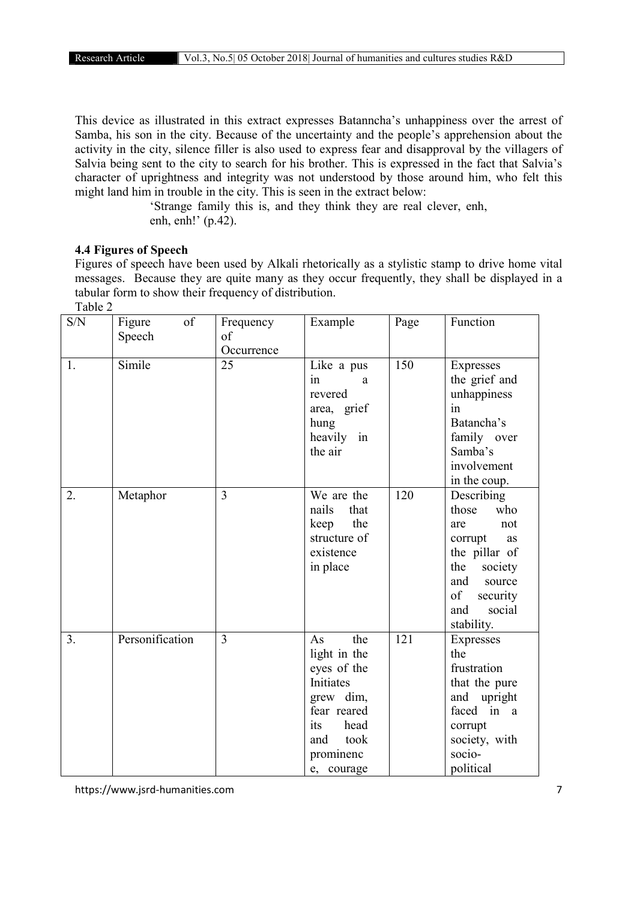This device as illustrated in this extract expresses Batanncha's unhappiness over the arrest of Samba, his son in the city. Because of the uncertainty and the people's apprehension about the activity in the city, silence filler is also used to express fear and disapproval by the villagers of Salvia being sent to the city to search for his brother. This is expressed in the fact that Salvia's character of uprightness and integrity was not understood by those around him, who felt this might land him in trouble in the city. This is seen in the extract below:

'Strange family this is, and they think they are real clever, enh, enh, enh!' (p.42).

#### 4.4 Figures of Speech

Figures of speech have been used by Alkali rhetorically as a stylistic stamp to drive home vital messages. Because they are quite many as they occur frequently, they shall be displayed in a tabular form to show their frequency of distribution. Table 2

| S/N            | of<br>Figure<br>Speech | Frequency<br>of<br>Occurrence | Example                                                                                                                                    | Page | Function                                                                                                                                                       |
|----------------|------------------------|-------------------------------|--------------------------------------------------------------------------------------------------------------------------------------------|------|----------------------------------------------------------------------------------------------------------------------------------------------------------------|
| 1.             | Simile                 | $\overline{25}$               | Like a pus<br>in<br>a<br>revered<br>area, grief<br>hung<br>heavily in<br>the air                                                           | 150  | Expresses<br>the grief and<br>unhappiness<br>in<br>Batancha's<br>family over<br>Samba's<br>involvement<br>in the coup.                                         |
| 2.             | Metaphor               | 3                             | We are the<br>that<br>nails<br>the<br>keep<br>structure of<br>existence<br>in place                                                        | 120  | Describing<br>those<br>who<br>not<br>are<br>corrupt<br>as<br>the pillar of<br>the<br>society<br>and<br>source<br>of<br>security<br>social<br>and<br>stability. |
| 3 <sub>1</sub> | Personification        | $\overline{3}$                | the<br>As<br>light in the<br>eyes of the<br>Initiates<br>grew dim,<br>fear reared<br>head<br>its<br>took<br>and<br>prominenc<br>e, courage | 121  | Expresses<br>the<br>frustration<br>that the pure<br>and upright<br>faced in a<br>corrupt<br>society, with<br>socio-<br>political                               |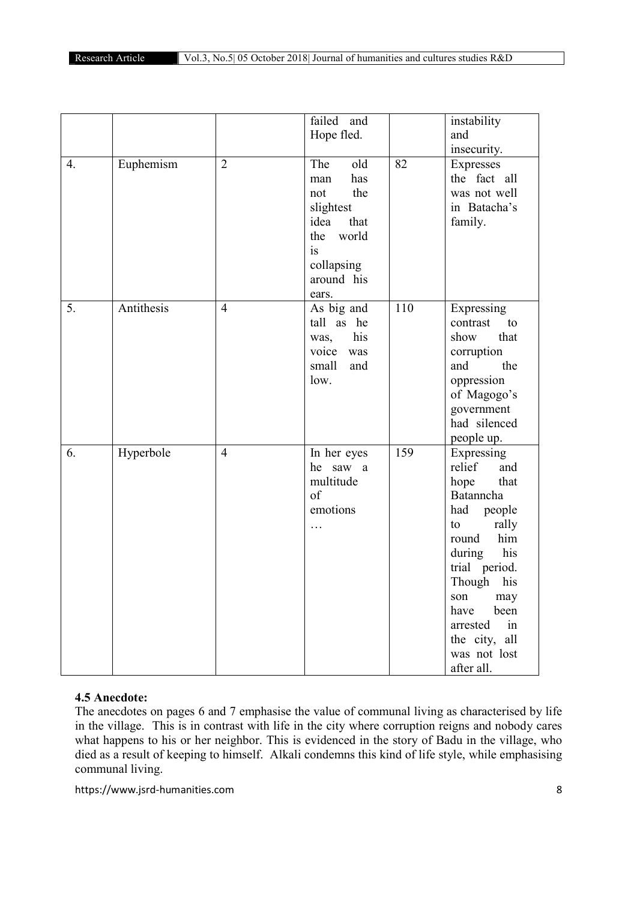|    |            |                | failed and                                                                                                                     |     | instability                                                                                                                                                                                                                                          |
|----|------------|----------------|--------------------------------------------------------------------------------------------------------------------------------|-----|------------------------------------------------------------------------------------------------------------------------------------------------------------------------------------------------------------------------------------------------------|
|    |            |                | Hope fled.                                                                                                                     |     | and                                                                                                                                                                                                                                                  |
|    |            |                |                                                                                                                                |     | insecurity.                                                                                                                                                                                                                                          |
| 4. | Euphemism  | $\overline{2}$ | The<br>old<br>has<br>man<br>the<br>not<br>slightest<br>idea<br>that<br>world<br>the<br>is<br>collapsing<br>around his<br>ears. | 82  | Expresses<br>the fact all<br>was not well<br>in Batacha's<br>family.                                                                                                                                                                                 |
| 5. | Antithesis | $\overline{4}$ | As big and<br>tall as he<br>his<br>was,<br>voice<br>was<br>small<br>and<br>low.                                                | 110 | Expressing<br>contrast<br>to<br>that<br>show<br>corruption<br>the<br>and<br>oppression<br>of Magogo's<br>government<br>had silenced<br>people up.                                                                                                    |
| 6. | Hyperbole  | $\overline{4}$ | In her eyes<br>he saw a<br>multitude<br>of<br>emotions<br>$\cdots$                                                             | 159 | Expressing<br>relief<br>and<br>that<br>hope<br>Batanncha<br>had people<br>rally<br>to<br>him<br>round<br>his<br>during<br>trial period.<br>Though his<br>son<br>may<br>been<br>have<br>in<br>arrested<br>the city, all<br>was not lost<br>after all. |

# 4.5 Anecdote:

The anecdotes on pages 6 and 7 emphasise the value of communal living as characterised by life in the village. This is in contrast with life in the city where corruption reigns and nobody cares what happens to his or her neighbor. This is evidenced in the story of Badu in the village, who died as a result of keeping to himself. Alkali condemns this kind of life style, while emphasising communal living.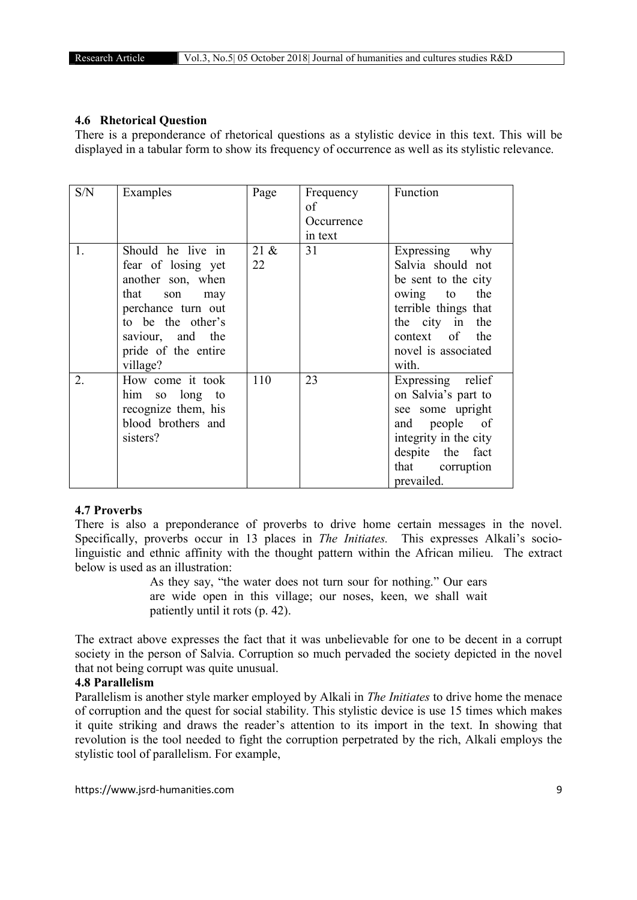#### 4.6 Rhetorical Question

There is a preponderance of rhetorical questions as a stylistic device in this text. This will be displayed in a tabular form to show its frequency of occurrence as well as its stylistic relevance.

| S/N | Examples                                                                                                                                                                             | Page          | Frequency<br>of<br>Occurrence<br>in text | Function                                                                                                                                                                      |
|-----|--------------------------------------------------------------------------------------------------------------------------------------------------------------------------------------|---------------|------------------------------------------|-------------------------------------------------------------------------------------------------------------------------------------------------------------------------------|
| 1.  | Should he live in<br>fear of losing yet<br>another son, when<br>that<br>son<br>may<br>perchance turn out<br>to be the other's<br>saviour, and the<br>pride of the entire<br>village? | $21 \&$<br>22 | 31                                       | Expressing why<br>Salvia should not<br>be sent to the city<br>the<br>owing to<br>terrible things that<br>the city in the<br>context of<br>the<br>novel is associated<br>with. |
| 2.  | How come it took<br>him so long<br>to<br>recognize them, his<br>blood brothers and<br>sisters?                                                                                       | 110           | 23                                       | Expressing relief<br>on Salvia's part to<br>see some upright<br>and people of<br>integrity in the city<br>despite the<br>fact<br>that corruption<br>prevailed.                |

#### 4.7 Proverbs

There is also a preponderance of proverbs to drive home certain messages in the novel. Specifically, proverbs occur in 13 places in *The Initiates.* This expresses Alkali's sociolinguistic and ethnic affinity with the thought pattern within the African milieu. The extract below is used as an illustration:

> As they say, "the water does not turn sour for nothing." Our ears are wide open in this village; our noses, keen, we shall wait patiently until it rots (p. 42).

The extract above expresses the fact that it was unbelievable for one to be decent in a corrupt society in the person of Salvia. Corruption so much pervaded the society depicted in the novel that not being corrupt was quite unusual.

#### 4.8 Parallelism

Parallelism is another style marker employed by Alkali in *The Initiates* to drive home the menace of corruption and the quest for social stability. This stylistic device is use 15 times which makes it quite striking and draws the reader's attention to its import in the text. In showing that revolution is the tool needed to fight the corruption perpetrated by the rich, Alkali employs the stylistic tool of parallelism. For example,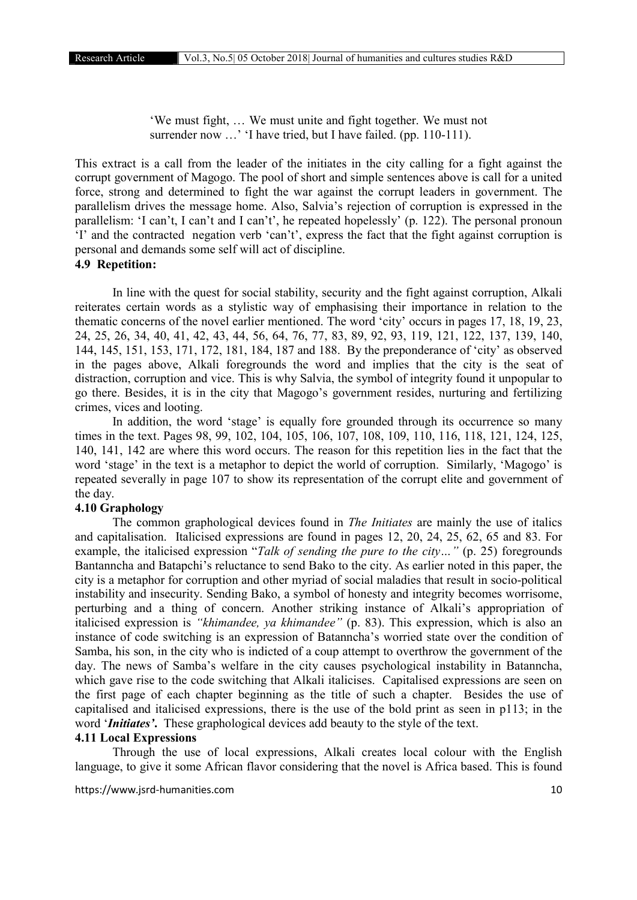'We must fight, … We must unite and fight together. We must not surrender now ...' 'I have tried, but I have failed. (pp. 110-111).

This extract is a call from the leader of the initiates in the city calling for a fight against the corrupt government of Magogo. The pool of short and simple sentences above is call for a united force, strong and determined to fight the war against the corrupt leaders in government. The parallelism drives the message home. Also, Salvia's rejection of corruption is expressed in the parallelism: 'I can't, I can't and I can't', he repeated hopelessly' (p. 122). The personal pronoun 'I' and the contracted negation verb 'can't', express the fact that the fight against corruption is personal and demands some self will act of discipline.

#### 4.9 Repetition:

In line with the quest for social stability, security and the fight against corruption, Alkali reiterates certain words as a stylistic way of emphasising their importance in relation to the thematic concerns of the novel earlier mentioned. The word 'city' occurs in pages 17, 18, 19, 23, 24, 25, 26, 34, 40, 41, 42, 43, 44, 56, 64, 76, 77, 83, 89, 92, 93, 119, 121, 122, 137, 139, 140, 144, 145, 151, 153, 171, 172, 181, 184, 187 and 188. By the preponderance of 'city' as observed in the pages above, Alkali foregrounds the word and implies that the city is the seat of distraction, corruption and vice. This is why Salvia, the symbol of integrity found it unpopular to go there. Besides, it is in the city that Magogo's government resides, nurturing and fertilizing crimes, vices and looting.

In addition, the word 'stage' is equally fore grounded through its occurrence so many times in the text. Pages 98, 99, 102, 104, 105, 106, 107, 108, 109, 110, 116, 118, 121, 124, 125, 140, 141, 142 are where this word occurs. The reason for this repetition lies in the fact that the word 'stage' in the text is a metaphor to depict the world of corruption. Similarly, 'Magogo' is repeated severally in page 107 to show its representation of the corrupt elite and government of the day.

# 4.10 Graphology

The common graphological devices found in *The Initiates* are mainly the use of italics and capitalisation. Italicised expressions are found in pages 12, 20, 24, 25, 62, 65 and 83. For example, the italicised expression "*Talk of sending the pure to the city…"* (p. 25) foregrounds Bantanncha and Batapchi's reluctance to send Bako to the city. As earlier noted in this paper, the city is a metaphor for corruption and other myriad of social maladies that result in socio-political instability and insecurity. Sending Bako, a symbol of honesty and integrity becomes worrisome, perturbing and a thing of concern. Another striking instance of Alkali's appropriation of italicised expression is *"khimandee, ya khimandee"* (p. 83). This expression, which is also an instance of code switching is an expression of Batanncha's worried state over the condition of Samba, his son, in the city who is indicted of a coup attempt to overthrow the government of the day. The news of Samba's welfare in the city causes psychological instability in Batanncha, which gave rise to the code switching that Alkali italicises. Capitalised expressions are seen on the first page of each chapter beginning as the title of such a chapter. Besides the use of capitalised and italicised expressions, there is the use of the bold print as seen in p113; in the word '*Initiates'*. These graphological devices add beauty to the style of the text.

#### 4.11 Local Expressions

Through the use of local expressions, Alkali creates local colour with the English language, to give it some African flavor considering that the novel is Africa based. This is found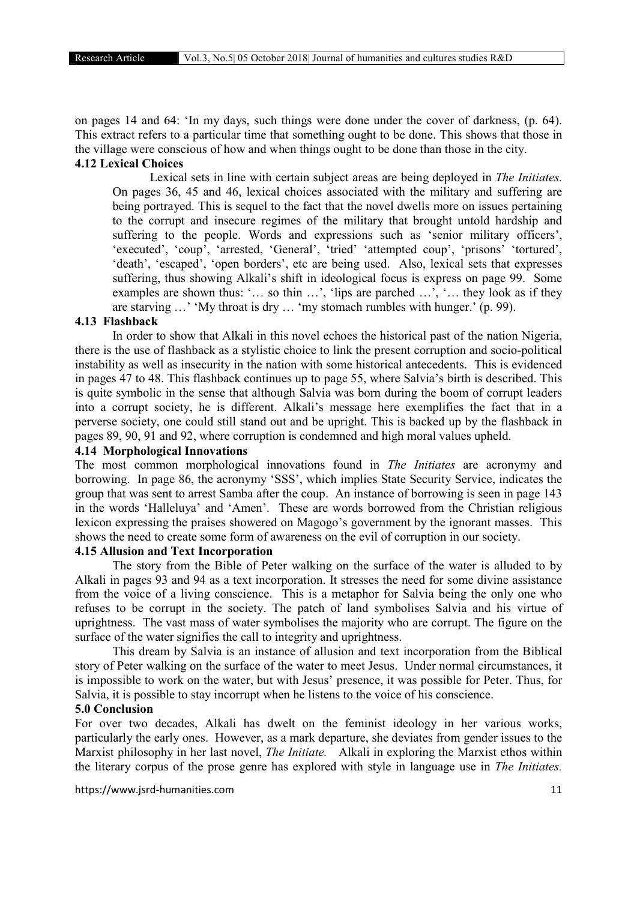on pages 14 and 64: 'In my days, such things were done under the cover of darkness, (p. 64). This extract refers to a particular time that something ought to be done. This shows that those in the village were conscious of how and when things ought to be done than those in the city.

# 4.12 Lexical Choices

Lexical sets in line with certain subject areas are being deployed in *The Initiates.* On pages 36, 45 and 46, lexical choices associated with the military and suffering are being portrayed. This is sequel to the fact that the novel dwells more on issues pertaining to the corrupt and insecure regimes of the military that brought untold hardship and suffering to the people. Words and expressions such as 'senior military officers', 'executed', 'coup', 'arrested, 'General', 'tried' 'attempted coup', 'prisons' 'tortured', 'death', 'escaped', 'open borders', etc are being used. Also, lexical sets that expresses suffering, thus showing Alkali's shift in ideological focus is express on page 99. Some examples are shown thus: '… so thin …', 'lips are parched …', '… they look as if they are starving …' 'My throat is dry … 'my stomach rumbles with hunger.' (p. 99).

#### 4.13 Flashback

In order to show that Alkali in this novel echoes the historical past of the nation Nigeria, there is the use of flashback as a stylistic choice to link the present corruption and socio-political instability as well as insecurity in the nation with some historical antecedents. This is evidenced in pages 47 to 48. This flashback continues up to page 55, where Salvia's birth is described. This is quite symbolic in the sense that although Salvia was born during the boom of corrupt leaders into a corrupt society, he is different. Alkali's message here exemplifies the fact that in a perverse society, one could still stand out and be upright. This is backed up by the flashback in pages 89, 90, 91 and 92, where corruption is condemned and high moral values upheld.

# 4.14 Morphological Innovations

The most common morphological innovations found in *The Initiates* are acronymy and borrowing. In page 86, the acronymy 'SSS', which implies State Security Service, indicates the group that was sent to arrest Samba after the coup. An instance of borrowing is seen in page 143 in the words 'Halleluya' and 'Amen'. These are words borrowed from the Christian religious lexicon expressing the praises showered on Magogo's government by the ignorant masses. This shows the need to create some form of awareness on the evil of corruption in our society.

#### 4.15 Allusion and Text Incorporation

The story from the Bible of Peter walking on the surface of the water is alluded to by Alkali in pages 93 and 94 as a text incorporation. It stresses the need for some divine assistance from the voice of a living conscience. This is a metaphor for Salvia being the only one who refuses to be corrupt in the society. The patch of land symbolises Salvia and his virtue of uprightness. The vast mass of water symbolises the majority who are corrupt. The figure on the surface of the water signifies the call to integrity and uprightness.

This dream by Salvia is an instance of allusion and text incorporation from the Biblical story of Peter walking on the surface of the water to meet Jesus. Under normal circumstances, it is impossible to work on the water, but with Jesus' presence, it was possible for Peter. Thus, for Salvia, it is possible to stay incorrupt when he listens to the voice of his conscience.

# 5.0 Conclusion

For over two decades, Alkali has dwelt on the feminist ideology in her various works, particularly the early ones. However, as a mark departure, she deviates from gender issues to the Marxist philosophy in her last novel, *The Initiate.* Alkali in exploring the Marxist ethos within the literary corpus of the prose genre has explored with style in language use in *The Initiates.*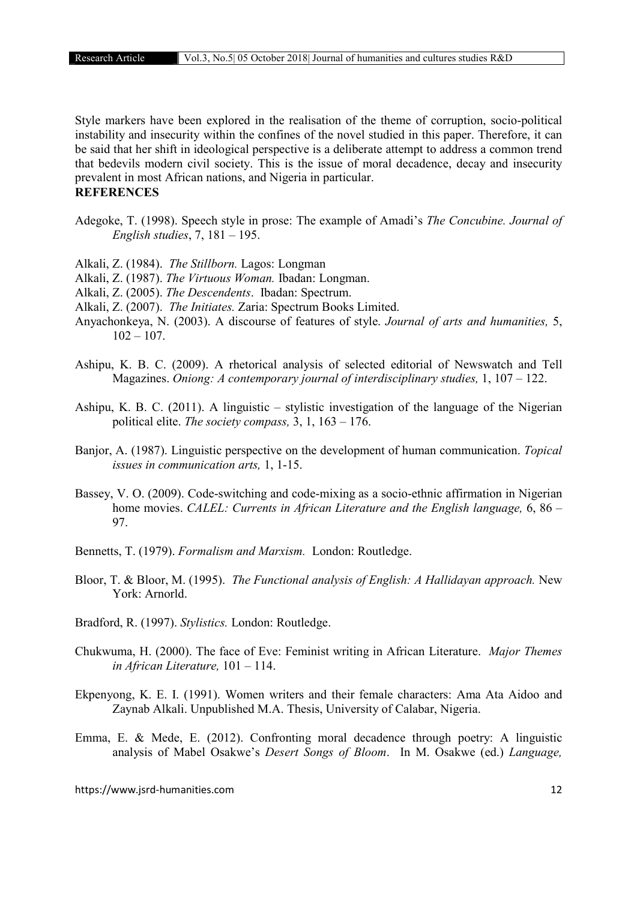Style markers have been explored in the realisation of the theme of corruption, socio-political instability and insecurity within the confines of the novel studied in this paper. Therefore, it can be said that her shift in ideological perspective is a deliberate attempt to address a common trend that bedevils modern civil society. This is the issue of moral decadence, decay and insecurity prevalent in most African nations, and Nigeria in particular.

# **REFERENCES**

- Adegoke, T. (1998). Speech style in prose: The example of Amadi's *The Concubine. Journal of English studies*, 7, 181 – 195.
- Alkali, Z. (1984). *The Stillborn.* Lagos: Longman
- Alkali, Z. (1987). *The Virtuous Woman.* Ibadan: Longman.
- Alkali, Z. (2005). *The Descendents*. Ibadan: Spectrum.
- Alkali, Z. (2007). *The Initiates.* Zaria: Spectrum Books Limited.
- Anyachonkeya, N. (2003). A discourse of features of style. *Journal of arts and humanities,* 5,  $102 - 107$ .
- Ashipu, K. B. C. (2009). A rhetorical analysis of selected editorial of Newswatch and Tell Magazines. *Oniong: A contemporary journal of interdisciplinary studies,* 1, 107 – 122.
- Ashipu, K. B. C. (2011). A linguistic stylistic investigation of the language of the Nigerian political elite. *The society compass,* 3, 1, 163 – 176.
- Banjor, A. (1987). Linguistic perspective on the development of human communication. *Topical issues in communication arts,* 1, 1-15.
- Bassey, V. O. (2009). Code-switching and code-mixing as a socio-ethnic affirmation in Nigerian home movies. *CALEL: Currents in African Literature and the English language,* 6, 86 – 97.
- Bennetts, T. (1979). *Formalism and Marxism.* London: Routledge.
- Bloor, T. & Bloor, M. (1995). *The Functional analysis of English: A Hallidayan approach.* New York: Arnorld.
- Bradford, R. (1997). *Stylistics.* London: Routledge.
- Chukwuma, H. (2000). The face of Eve: Feminist writing in African Literature. *Major Themes in African Literature,* 101 – 114.
- Ekpenyong, K. E. I. (1991). Women writers and their female characters: Ama Ata Aidoo and Zaynab Alkali. Unpublished M.A. Thesis, University of Calabar, Nigeria.
- Emma, E. & Mede, E. (2012). Confronting moral decadence through poetry: A linguistic analysis of Mabel Osakwe's *Desert Songs of Bloom*. In M. Osakwe (ed.) *Language,*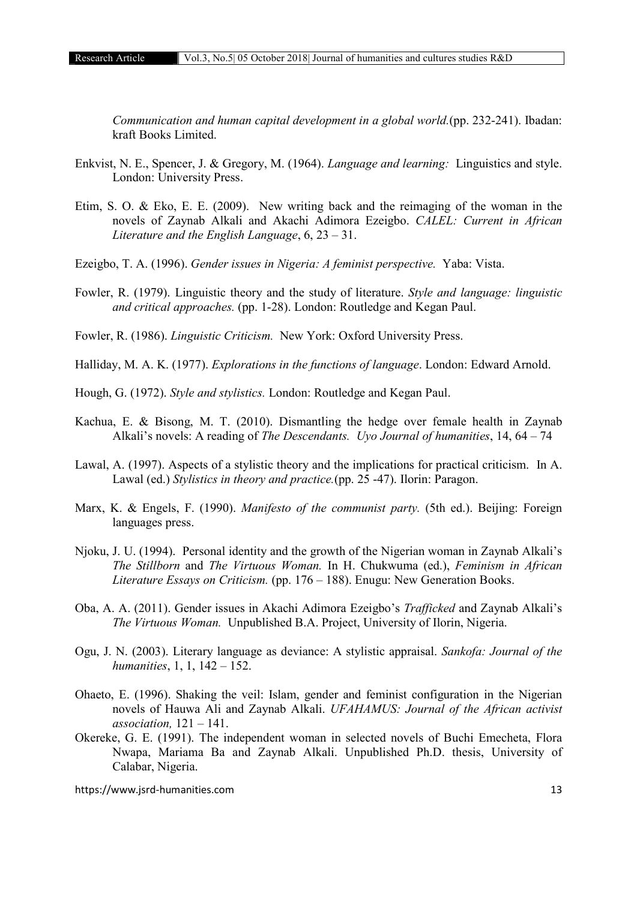*Communication and human capital development in a global world.*(pp. 232-241). Ibadan: kraft Books Limited.

- Enkvist, N. E., Spencer, J. & Gregory, M. (1964). *Language and learning:* Linguistics and style. London: University Press.
- Etim, S. O. & Eko, E. E. (2009). New writing back and the reimaging of the woman in the novels of Zaynab Alkali and Akachi Adimora Ezeigbo. *CALEL: Current in African Literature and the English Language*, 6, 23 – 31.
- Ezeigbo, T. A. (1996). *Gender issues in Nigeria: A feminist perspective.* Yaba: Vista.
- Fowler, R. (1979). Linguistic theory and the study of literature. *Style and language: linguistic and critical approaches.* (pp. 1-28). London: Routledge and Kegan Paul.
- Fowler, R. (1986). *Linguistic Criticism.* New York: Oxford University Press.
- Halliday, M. A. K. (1977). *Explorations in the functions of language*. London: Edward Arnold.
- Hough, G. (1972). *Style and stylistics.* London: Routledge and Kegan Paul.
- Kachua, E. & Bisong, M. T. (2010). Dismantling the hedge over female health in Zaynab Alkali's novels: A reading of *The Descendants. Uyo Journal of humanities*, 14, 64 – 74
- Lawal, A. (1997). Aspects of a stylistic theory and the implications for practical criticism. In A. Lawal (ed.) *Stylistics in theory and practice.*(pp. 25 -47). Ilorin: Paragon.
- Marx, K. & Engels, F. (1990). *Manifesto of the communist party.* (5th ed.). Beijing: Foreign languages press.
- Njoku, J. U. (1994). Personal identity and the growth of the Nigerian woman in Zaynab Alkali's *The Stillborn* and *The Virtuous Woman.* In H. Chukwuma (ed.), *Feminism in African Literature Essays on Criticism.* (pp. 176 – 188). Enugu: New Generation Books.
- Oba, A. A. (2011). Gender issues in Akachi Adimora Ezeigbo's *Trafficked* and Zaynab Alkali's *The Virtuous Woman.* Unpublished B.A. Project, University of Ilorin, Nigeria.
- Ogu, J. N. (2003). Literary language as deviance: A stylistic appraisal. *Sankofa: Journal of the humanities*, 1, 1, 142 – 152.
- Ohaeto, E. (1996). Shaking the veil: Islam, gender and feminist configuration in the Nigerian novels of Hauwa Ali and Zaynab Alkali. *UFAHAMUS: Journal of the African activist association,* 121 – 141.
- Okereke, G. E. (1991). The independent woman in selected novels of Buchi Emecheta, Flora Nwapa, Mariama Ba and Zaynab Alkali. Unpublished Ph.D. thesis, University of Calabar, Nigeria.